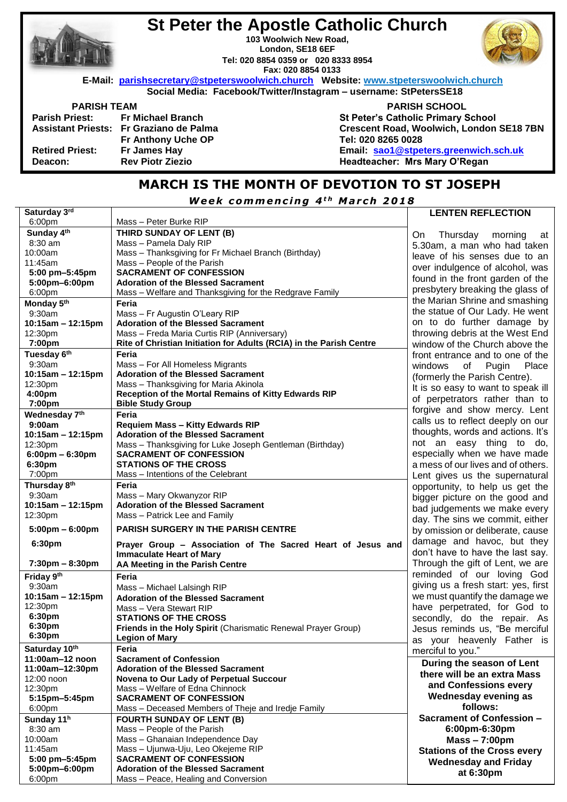|                        | <b>St Peter the Apostle Catholic Church</b><br>103 Woolwich New Road,<br>London, SE18 6EF<br>Tel: 020 8854 0359 or 020 8333 8954<br>Fax: 020 8854 0133 |                                           |
|------------------------|--------------------------------------------------------------------------------------------------------------------------------------------------------|-------------------------------------------|
|                        | E-Mail: parishsecretary@stpeterswoolwich.church Website: www.stpeterswoolwich.church                                                                   |                                           |
|                        | Social Media: Facebook/Twitter/Instagram - username: StPetersSE18                                                                                      |                                           |
| <b>PARISH TEAM</b>     |                                                                                                                                                        | <b>PARISH SCHOOL</b>                      |
|                        | Parish Priest: Fr Michael Branch                                                                                                                       | <b>St Peter's Catholic Primary School</b> |
|                        | Assistant Priests: Fr Graziano de Palma                                                                                                                | Crescent Road, Woolwich, London SE18 7BN  |
|                        | <b>Fr Anthony Uche OP</b>                                                                                                                              | Tel: 020 8265 0028                        |
| <b>Retired Priest:</b> | Fr James Hay                                                                                                                                           | Email: sao1@stpeters.greenwich.sch.uk     |
| Deacon:                | <b>Rev Piotr Ziezio</b>                                                                                                                                | Headteacher: Mrs Mary O'Regan             |
|                        |                                                                                                                                                        |                                           |

## **MARCH IS THE MONTH OF DEVOTION TO ST JOSEPH**

*W e e k c omm e n c i n g 4 t h M a r c h 2018*

| Saturday 3rd                      |                                                                                                | <b>LENTEN REFLECTION</b>            |
|-----------------------------------|------------------------------------------------------------------------------------------------|-------------------------------------|
| 6:00pm                            | Mass – Peter Burke RIP                                                                         |                                     |
| Sunday 4th                        | THIRD SUNDAY OF LENT (B)                                                                       | On<br>Thursday<br>morning<br>at     |
| 8:30 am                           | Mass - Pamela Daly RIP                                                                         | 5.30am, a man who had taken         |
| 10:00am                           | Mass - Thanksgiving for Fr Michael Branch (Birthday)                                           | leave of his senses due to an       |
| 11:45am                           | Mass - People of the Parish                                                                    |                                     |
| 5:00 pm-5:45pm                    | <b>SACRAMENT OF CONFESSION</b>                                                                 | over indulgence of alcohol, was     |
| 5:00pm-6:00pm                     | <b>Adoration of the Blessed Sacrament</b>                                                      | found in the front garden of the    |
| 6:00pm                            | Mass - Welfare and Thanksgiving for the Redgrave Family                                        | presbytery breaking the glass of    |
| Monday 5th                        | Feria                                                                                          | the Marian Shrine and smashing      |
| 9:30am                            | Mass - Fr Augustin O'Leary RIP                                                                 | the statue of Our Lady. He went     |
| $10:15am - 12:15pm$               | <b>Adoration of the Blessed Sacrament</b>                                                      | on to do further damage by          |
| 12:30pm                           | Mass - Freda Maria Curtis RIP (Anniversary)                                                    | throwing debris at the West End     |
| 7:00pm                            | Rite of Christian Initiation for Adults (RCIA) in the Parish Centre                            | window of the Church above the      |
| Tuesday 6th                       | Feria                                                                                          |                                     |
| 9:30am                            | Mass - For All Homeless Migrants                                                               | front entrance and to one of the    |
| 10:15am - 12:15pm                 | <b>Adoration of the Blessed Sacrament</b>                                                      | windows<br>of<br>Pugin<br>Place     |
|                                   |                                                                                                | (formerly the Parish Centre).       |
| 12:30pm                           | Mass - Thanksgiving for Maria Akinola                                                          | It is so easy to want to speak ill  |
| 4:00pm                            | Reception of the Mortal Remains of Kitty Edwards RIP                                           | of perpetrators rather than to      |
| 7:00pm                            | <b>Bible Study Group</b>                                                                       | forgive and show mercy. Lent        |
| Wednesday 7th                     | Feria                                                                                          | calls us to reflect deeply on our   |
| 9:00am                            | <b>Requiem Mass - Kitty Edwards RIP</b>                                                        | thoughts, words and actions. It's   |
| 10:15am - 12:15pm                 | <b>Adoration of the Blessed Sacrament</b>                                                      | not an easy thing to do,            |
| 12:30pm                           | Mass - Thanksgiving for Luke Joseph Gentleman (Birthday)                                       |                                     |
| $6:00 \text{pm} - 6:30 \text{pm}$ | <b>SACRAMENT OF CONFESSION</b>                                                                 | especially when we have made        |
| 6:30pm                            | <b>STATIONS OF THE CROSS</b>                                                                   | a mess of our lives and of others.  |
| 7:00pm                            | Mass - Intentions of the Celebrant                                                             | Lent gives us the supernatural      |
| Thursday 8th                      | Feria                                                                                          | opportunity, to help us get the     |
| 9:30am                            | Mass - Mary Okwanyzor RIP                                                                      | bigger picture on the good and      |
| $10:15am - 12:15pm$               | <b>Adoration of the Blessed Sacrament</b>                                                      | bad judgements we make every        |
| 12:30pm                           | Mass - Patrick Lee and Family                                                                  | day. The sins we commit, either     |
| $5:00 \text{pm} - 6:00 \text{pm}$ | <b>PARISH SURGERY IN THE PARISH CENTRE</b>                                                     | by omission or deliberate, cause    |
| 6:30pm                            |                                                                                                | damage and havoc, but they          |
|                                   | Prayer Group - Association of The Sacred Heart of Jesus and<br><b>Immaculate Heart of Mary</b> | don't have to have the last say.    |
| $7:30 \text{pm} - 8:30 \text{pm}$ | AA Meeting in the Parish Centre                                                                | Through the gift of Lent, we are    |
|                                   |                                                                                                | reminded of our loving God          |
| Friday 9th                        | Feria                                                                                          |                                     |
| 9:30am                            | Mass - Michael Lalsingh RIP                                                                    | giving us a fresh start: yes, first |
| $10:15am - 12:15pm$               | <b>Adoration of the Blessed Sacrament</b>                                                      | we must quantify the damage we      |
| 12:30pm                           | Mass - Vera Stewart RIP                                                                        | have perpetrated, for God to        |
| 6:30pm                            | <b>STATIONS OF THE CROSS</b>                                                                   | secondly, do the repair. As         |
| 6:30pm                            | Friends in the Holy Spirit (Charismatic Renewal Prayer Group)                                  | Jesus reminds us, "Be merciful      |
| 6:30pm                            | <b>Legion of Mary</b>                                                                          | as your heavenly Father is          |
| Saturday 10th                     | Feria                                                                                          | merciful to you."                   |
| 11:00am-12 noon                   | <b>Sacrament of Confession</b>                                                                 |                                     |
| 11:00am-12:30pm                   | <b>Adoration of the Blessed Sacrament</b>                                                      | During the season of Lent           |
| 12:00 noon                        | Novena to Our Lady of Perpetual Succour                                                        | there will be an extra Mass         |
| 12:30pm                           | Mass - Welfare of Edna Chinnock                                                                | and Confessions every               |
| 5:15pm-5:45pm                     | <b>SACRAMENT OF CONFESSION</b>                                                                 | Wednesday evening as                |
| 6:00 <sub>pm</sub>                | Mass - Deceased Members of Theje and Iredje Family                                             | follows:                            |
| Sunday 11h                        | <b>FOURTH SUNDAY OF LENT (B)</b>                                                               | Sacrament of Confession -           |
| 8:30 am                           | Mass - People of the Parish                                                                    | 6:00pm-6:30pm                       |
| 10:00am                           | Mass - Ghanaian Independence Day                                                               | $Mass - 7:00 \text{pm}$             |
| 11:45am                           | Mass - Ujunwa-Uju, Leo Okejeme RIP                                                             | <b>Stations of the Cross every</b>  |
| 5:00 pm-5:45pm                    | <b>SACRAMENT OF CONFESSION</b>                                                                 |                                     |
| 5:00pm-6:00pm                     | <b>Adoration of the Blessed Sacrament</b>                                                      | <b>Wednesday and Friday</b>         |
| 6:00pm                            | Mass - Peace, Healing and Conversion                                                           | at 6:30pm                           |
|                                   |                                                                                                |                                     |